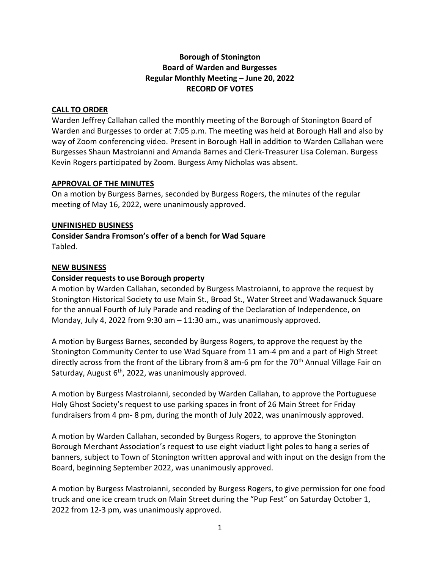# **Borough of Stonington Board of Warden and Burgesses Regular Monthly Meeting – June 20, 2022 RECORD OF VOTES**

## **CALL TO ORDER**

Warden Jeffrey Callahan called the monthly meeting of the Borough of Stonington Board of Warden and Burgesses to order at 7:05 p.m. The meeting was held at Borough Hall and also by way of Zoom conferencing video. Present in Borough Hall in addition to Warden Callahan were Burgesses Shaun Mastroianni and Amanda Barnes and Clerk-Treasurer Lisa Coleman. Burgess Kevin Rogers participated by Zoom. Burgess Amy Nicholas was absent.

## **APPROVAL OF THE MINUTES**

On a motion by Burgess Barnes, seconded by Burgess Rogers, the minutes of the regular meeting of May 16, 2022, were unanimously approved.

## **UNFINISHED BUSINESS**

**Consider Sandra Fromson's offer of a bench for Wad Square** Tabled.

#### **NEW BUSINESS**

## **Consider requests to use Borough property**

A motion by Warden Callahan, seconded by Burgess Mastroianni, to approve the request by Stonington Historical Society to use Main St., Broad St., Water Street and Wadawanuck Square for the annual Fourth of July Parade and reading of the Declaration of Independence, on Monday, July 4, 2022 from 9:30 am – 11:30 am., was unanimously approved.

A motion by Burgess Barnes, seconded by Burgess Rogers, to approve the request by the Stonington Community Center to use Wad Square from 11 am-4 pm and a part of High Street directly across from the front of the Library from 8 am-6 pm for the 70<sup>th</sup> Annual Village Fair on Saturday, August 6<sup>th</sup>, 2022, was unanimously approved.

A motion by Burgess Mastroianni, seconded by Warden Callahan, to approve the Portuguese Holy Ghost Society's request to use parking spaces in front of 26 Main Street for Friday fundraisers from 4 pm- 8 pm, during the month of July 2022, was unanimously approved.

A motion by Warden Callahan, seconded by Burgess Rogers, to approve the Stonington Borough Merchant Association's request to use eight viaduct light poles to hang a series of banners, subject to Town of Stonington written approval and with input on the design from the Board, beginning September 2022, was unanimously approved.

A motion by Burgess Mastroianni, seconded by Burgess Rogers, to give permission for one food truck and one ice cream truck on Main Street during the "Pup Fest" on Saturday October 1, 2022 from 12-3 pm, was unanimously approved.